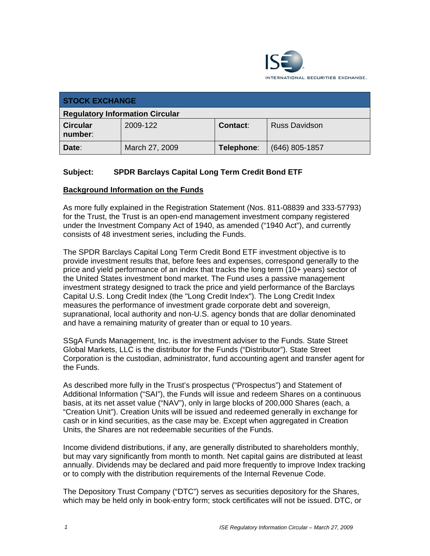

| <b>STOCK EXCHANGE</b>                  |                |            |                      |
|----------------------------------------|----------------|------------|----------------------|
| <b>Regulatory Information Circular</b> |                |            |                      |
| <b>Circular</b><br>number:             | 2009-122       | Contact:   | <b>Russ Davidson</b> |
| Date:                                  | March 27, 2009 | Telephone: | $(646)$ 805-1857     |

# **Subject: SPDR Barclays Capital Long Term Credit Bond ETF**

#### **Background Information on the Funds**

As more fully explained in the Registration Statement (Nos. 811-08839 and 333-57793) for the Trust, the Trust is an open-end management investment company registered under the Investment Company Act of 1940, as amended ("1940 Act"), and currently consists of 48 investment series, including the Funds.

The SPDR Barclays Capital Long Term Credit Bond ETF investment objective is to provide investment results that, before fees and expenses, correspond generally to the price and yield performance of an index that tracks the long term (10+ years) sector of the United States investment bond market. The Fund uses a passive management investment strategy designed to track the price and yield performance of the Barclays Capital U.S. Long Credit Index (the "Long Credit Index"). The Long Credit Index measures the performance of investment grade corporate debt and sovereign, supranational, local authority and non-U.S. agency bonds that are dollar denominated and have a remaining maturity of greater than or equal to 10 years.

SSgA Funds Management, Inc. is the investment adviser to the Funds. State Street Global Markets, LLC is the distributor for the Funds ("Distributor"). State Street Corporation is the custodian, administrator, fund accounting agent and transfer agent for the Funds.

As described more fully in the Trust's prospectus ("Prospectus") and Statement of Additional Information ("SAI"), the Funds will issue and redeem Shares on a continuous basis, at its net asset value ("NAV"), only in large blocks of 200,000 Shares (each, a "Creation Unit"). Creation Units will be issued and redeemed generally in exchange for cash or in kind securities, as the case may be. Except when aggregated in Creation Units, the Shares are not redeemable securities of the Funds.

Income dividend distributions, if any, are generally distributed to shareholders monthly, but may vary significantly from month to month. Net capital gains are distributed at least annually. Dividends may be declared and paid more frequently to improve Index tracking or to comply with the distribution requirements of the Internal Revenue Code.

The Depository Trust Company ("DTC") serves as securities depository for the Shares, which may be held only in book-entry form; stock certificates will not be issued. DTC, or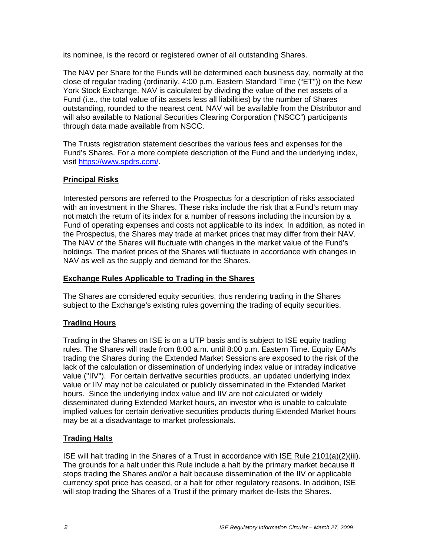its nominee, is the record or registered owner of all outstanding Shares.

The NAV per Share for the Funds will be determined each business day, normally at the close of regular trading (ordinarily, 4:00 p.m. Eastern Standard Time ("ET")) on the New York Stock Exchange. NAV is calculated by dividing the value of the net assets of a Fund (i.e., the total value of its assets less all liabilities) by the number of Shares outstanding, rounded to the nearest cent. NAV will be available from the Distributor and will also available to National Securities Clearing Corporation ("NSCC") participants through data made available from NSCC.

The Trusts registration statement describes the various fees and expenses for the Fund's Shares. For a more complete description of the Fund and the underlying index, visit https://www.spdrs.com/.

# **Principal Risks**

Interested persons are referred to the Prospectus for a description of risks associated with an investment in the Shares. These risks include the risk that a Fund's return may not match the return of its index for a number of reasons including the incursion by a Fund of operating expenses and costs not applicable to its index. In addition, as noted in the Prospectus, the Shares may trade at market prices that may differ from their NAV. The NAV of the Shares will fluctuate with changes in the market value of the Fund's holdings. The market prices of the Shares will fluctuate in accordance with changes in NAV as well as the supply and demand for the Shares.

#### **Exchange Rules Applicable to Trading in the Shares**

The Shares are considered equity securities, thus rendering trading in the Shares subject to the Exchange's existing rules governing the trading of equity securities.

#### **Trading Hours**

Trading in the Shares on ISE is on a UTP basis and is subject to ISE equity trading rules. The Shares will trade from 8:00 a.m. until 8:00 p.m. Eastern Time. Equity EAMs trading the Shares during the Extended Market Sessions are exposed to the risk of the lack of the calculation or dissemination of underlying index value or intraday indicative value ("IIV"). For certain derivative securities products, an updated underlying index value or IIV may not be calculated or publicly disseminated in the Extended Market hours. Since the underlying index value and IIV are not calculated or widely disseminated during Extended Market hours, an investor who is unable to calculate implied values for certain derivative securities products during Extended Market hours may be at a disadvantage to market professionals.

# **Trading Halts**

ISE will halt trading in the Shares of a Trust in accordance with ISE Rule 2101(a)(2)(iii). The grounds for a halt under this Rule include a halt by the primary market because it stops trading the Shares and/or a halt because dissemination of the IIV or applicable currency spot price has ceased, or a halt for other regulatory reasons. In addition, ISE will stop trading the Shares of a Trust if the primary market de-lists the Shares.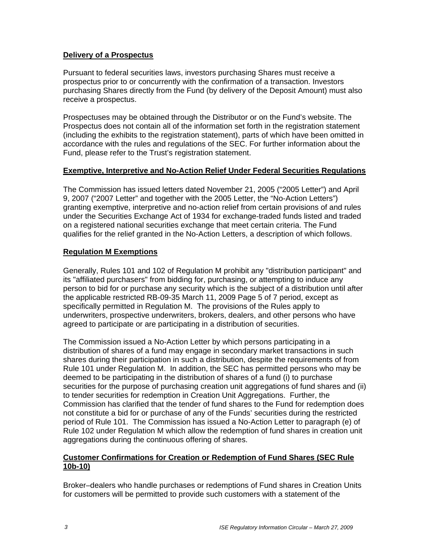#### **Delivery of a Prospectus**

Pursuant to federal securities laws, investors purchasing Shares must receive a prospectus prior to or concurrently with the confirmation of a transaction. Investors purchasing Shares directly from the Fund (by delivery of the Deposit Amount) must also receive a prospectus.

Prospectuses may be obtained through the Distributor or on the Fund's website. The Prospectus does not contain all of the information set forth in the registration statement (including the exhibits to the registration statement), parts of which have been omitted in accordance with the rules and regulations of the SEC. For further information about the Fund, please refer to the Trust's registration statement.

#### **Exemptive, Interpretive and No-Action Relief Under Federal Securities Regulations**

The Commission has issued letters dated November 21, 2005 ("2005 Letter") and April 9, 2007 ("2007 Letter" and together with the 2005 Letter, the "No-Action Letters") granting exemptive, interpretive and no-action relief from certain provisions of and rules under the Securities Exchange Act of 1934 for exchange-traded funds listed and traded on a registered national securities exchange that meet certain criteria. The Fund qualifies for the relief granted in the No-Action Letters, a description of which follows.

# **Regulation M Exemptions**

Generally, Rules 101 and 102 of Regulation M prohibit any "distribution participant" and its "affiliated purchasers" from bidding for, purchasing, or attempting to induce any person to bid for or purchase any security which is the subject of a distribution until after the applicable restricted RB-09-35 March 11, 2009 Page 5 of 7 period, except as specifically permitted in Regulation M. The provisions of the Rules apply to underwriters, prospective underwriters, brokers, dealers, and other persons who have agreed to participate or are participating in a distribution of securities.

The Commission issued a No-Action Letter by which persons participating in a distribution of shares of a fund may engage in secondary market transactions in such shares during their participation in such a distribution, despite the requirements of from Rule 101 under Regulation M. In addition, the SEC has permitted persons who may be deemed to be participating in the distribution of shares of a fund (i) to purchase securities for the purpose of purchasing creation unit aggregations of fund shares and (ii) to tender securities for redemption in Creation Unit Aggregations. Further, the Commission has clarified that the tender of fund shares to the Fund for redemption does not constitute a bid for or purchase of any of the Funds' securities during the restricted period of Rule 101. The Commission has issued a No-Action Letter to paragraph (e) of Rule 102 under Regulation M which allow the redemption of fund shares in creation unit aggregations during the continuous offering of shares.

#### **Customer Confirmations for Creation or Redemption of Fund Shares (SEC Rule 10b-10)**

Broker–dealers who handle purchases or redemptions of Fund shares in Creation Units for customers will be permitted to provide such customers with a statement of the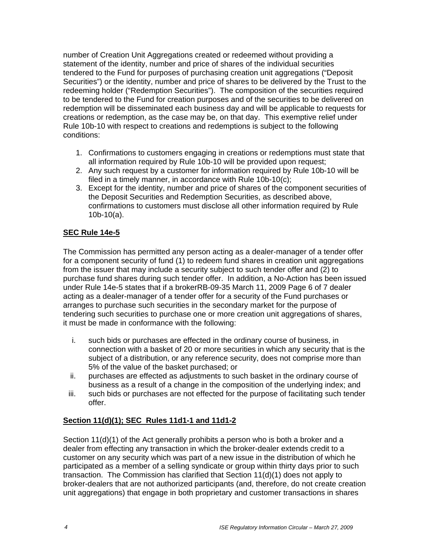number of Creation Unit Aggregations created or redeemed without providing a statement of the identity, number and price of shares of the individual securities tendered to the Fund for purposes of purchasing creation unit aggregations ("Deposit Securities") or the identity, number and price of shares to be delivered by the Trust to the redeeming holder ("Redemption Securities"). The composition of the securities required to be tendered to the Fund for creation purposes and of the securities to be delivered on redemption will be disseminated each business day and will be applicable to requests for creations or redemption, as the case may be, on that day. This exemptive relief under Rule 10b-10 with respect to creations and redemptions is subject to the following conditions:

- 1. Confirmations to customers engaging in creations or redemptions must state that all information required by Rule 10b-10 will be provided upon request;
- 2. Any such request by a customer for information required by Rule 10b-10 will be filed in a timely manner, in accordance with Rule 10b-10(c);
- 3. Except for the identity, number and price of shares of the component securities of the Deposit Securities and Redemption Securities, as described above, confirmations to customers must disclose all other information required by Rule 10b-10(a).

# **SEC Rule 14e-5**

The Commission has permitted any person acting as a dealer-manager of a tender offer for a component security of fund (1) to redeem fund shares in creation unit aggregations from the issuer that may include a security subject to such tender offer and (2) to purchase fund shares during such tender offer. In addition, a No-Action has been issued under Rule 14e-5 states that if a brokerRB-09-35 March 11, 2009 Page 6 of 7 dealer acting as a dealer-manager of a tender offer for a security of the Fund purchases or arranges to purchase such securities in the secondary market for the purpose of tendering such securities to purchase one or more creation unit aggregations of shares, it must be made in conformance with the following:

- i. such bids or purchases are effected in the ordinary course of business, in connection with a basket of 20 or more securities in which any security that is the subject of a distribution, or any reference security, does not comprise more than 5% of the value of the basket purchased; or
- ii. purchases are effected as adjustments to such basket in the ordinary course of business as a result of a change in the composition of the underlying index; and
- iii. such bids or purchases are not effected for the purpose of facilitating such tender offer.

# **Section 11(d)(1); SEC Rules 11d1-1 and 11d1-2**

Section 11(d)(1) of the Act generally prohibits a person who is both a broker and a dealer from effecting any transaction in which the broker-dealer extends credit to a customer on any security which was part of a new issue in the distribution of which he participated as a member of a selling syndicate or group within thirty days prior to such transaction. The Commission has clarified that Section 11(d)(1) does not apply to broker-dealers that are not authorized participants (and, therefore, do not create creation unit aggregations) that engage in both proprietary and customer transactions in shares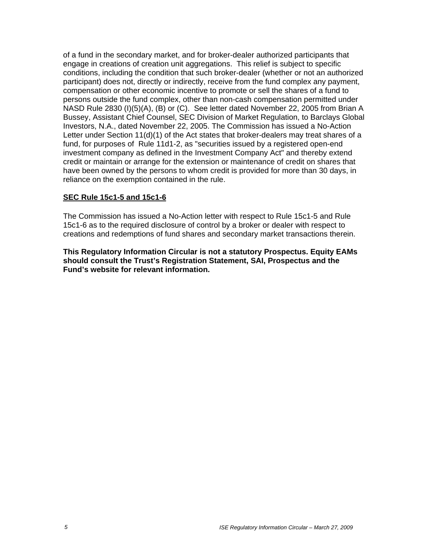of a fund in the secondary market, and for broker-dealer authorized participants that engage in creations of creation unit aggregations. This relief is subject to specific conditions, including the condition that such broker-dealer (whether or not an authorized participant) does not, directly or indirectly, receive from the fund complex any payment, compensation or other economic incentive to promote or sell the shares of a fund to persons outside the fund complex, other than non-cash compensation permitted under NASD Rule 2830 (I)(5)(A), (B) or (C). See letter dated November 22, 2005 from Brian A Bussey, Assistant Chief Counsel, SEC Division of Market Regulation, to Barclays Global Investors, N.A., dated November 22, 2005. The Commission has issued a No-Action Letter under Section 11(d)(1) of the Act states that broker-dealers may treat shares of a fund, for purposes of Rule 11d1-2, as "securities issued by a registered open-end investment company as defined in the Investment Company Act" and thereby extend credit or maintain or arrange for the extension or maintenance of credit on shares that have been owned by the persons to whom credit is provided for more than 30 days, in reliance on the exemption contained in the rule.

#### **SEC Rule 15c1-5 and 15c1-6**

The Commission has issued a No-Action letter with respect to Rule 15c1-5 and Rule 15c1-6 as to the required disclosure of control by a broker or dealer with respect to creations and redemptions of fund shares and secondary market transactions therein.

**This Regulatory Information Circular is not a statutory Prospectus. Equity EAMs should consult the Trust's Registration Statement, SAI, Prospectus and the Fund's website for relevant information.**